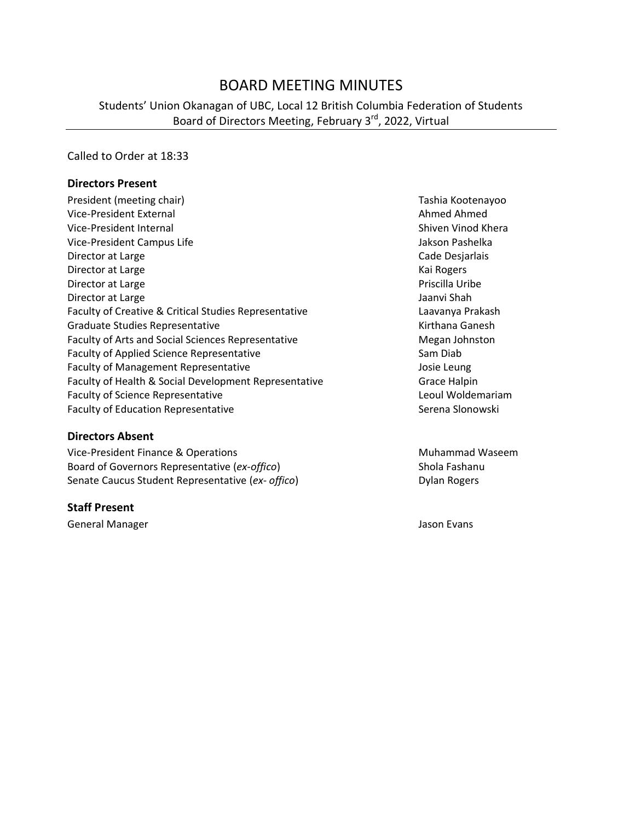# BOARD MEETING MINUTES

Students' Union Okanagan of UBC, Local 12 British Columbia Federation of Students Board of Directors Meeting, February 3<sup>rd</sup>, 2022, Virtual

Called to Order at 18:33

#### **Directors Present**

President (meeting chair) Tashia Kootenayoo Vice-President External Ahmed Ahmed Ahmed Ahmed Ahmed Ahmed Ahmed Ahmed Ahmed Ahmed Ahmed Ahmed Ahmed Ahmed Ahmed Ahmed Ahmed Ahmed Ahmed Ahmed Ahmed Ahmed Ahmed Ahmed Ahmed Ahmed Ahmed Ahmed Ahmed Ahmed Ahmed Ahmed Ahmed Vice-President Internal Shiven Vinod Khera Vice-President Campus Life Jakson Pashelka Director at Large **Cade Desjarlais** Cade Desjarlais Director at Large Kai Rogers and American Control of the Manual Association and American Control of the Manual Association and American Control of the Manual Association and American Control of the Manual Association and A Director at Large **Priscilla Uribe** Priscilla Uribe Priscilla Uribe Priscilla Uribe Priscilla Uribe Priscilla Uribe Director at Large Jaanvi Shah Jaanvi Shah Jaanvi Shah Jaanvi Shah Jaanvi Shah Jaanvi Shah Jaanvi Shah Jaanvi Shah Faculty of Creative & Critical Studies Representative **Lack Critical Studies Representative** Laavanya Prakash Graduate Studies Representative **Kirthana Ganesh** Kirthana Ganesh Faculty of Arts and Social Sciences Representative Megan Johnston Megan Johnston Faculty of Applied Science Representative Sam Diab Faculty of Management Representative and the Management Representative and the Management Representative Faculty of Health & Social Development Representative Grace Halpin Faculty of Science Representative **Leoul Woldemariam** Faculty of Education Representative **Serena Slonowski** Serena Slonowski

**Directors Absent**

Vice-President Finance & Operations Muhammad Waseem Board of Governors Representative (*ex-offico*) Shola Fashanu Senate Caucus Student Representative (ex- offico) **Dylan Rogers** Dylan Rogers

#### **Staff Present**

General Manager **Jason Evans** Jason Evans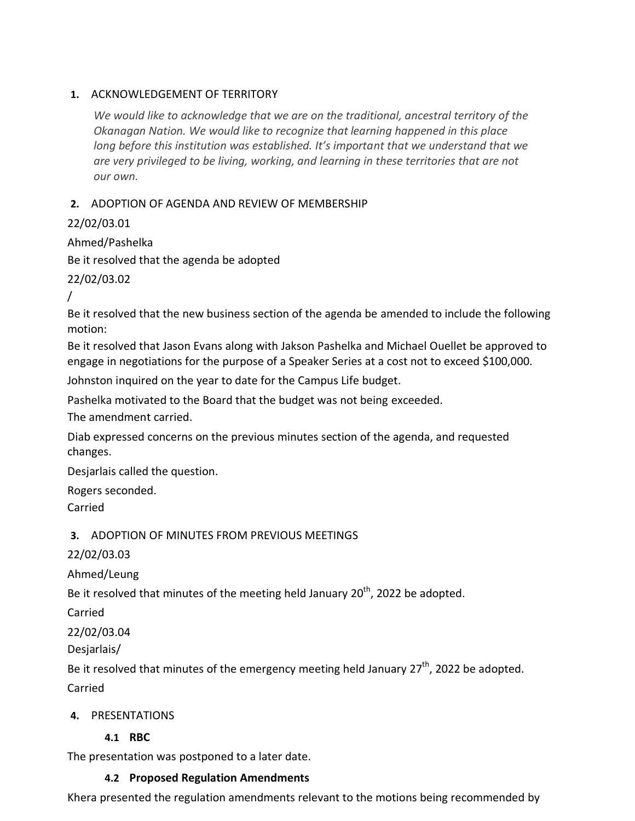### **1.** ACKNOWLEDGEMENT OF TERRITORY

*We would like to acknowledge that we are on the traditional, ancestral territory of the Okanagan Nation. We would like to recognize that learning happened in this place long before this institution was established. It's important that we understand that we are very privileged to be living, working, and learning in these territories that are not our own.*

### **2.** ADOPTION OF AGENDA AND REVIEW OF MEMBERSHIP

22/02/03.01

Ahmed/Pashelka Be it resolved that the agenda be adopted

22/02/03.02

/

Be it resolved that the new business section of the agenda be amended to include the following motion:

Be it resolved that Jason Evans along with Jakson Pashelka and Michael Ouellet be approved to engage in negotiations for the purpose of a Speaker Series at a cost not to exceed \$100,000.

Johnston inquired on the year to date for the Campus Life budget.

Pashelka motivated to the Board that the budget was not being exceeded.

The amendment carried.

Diab expressed concerns on the previous minutes section of the agenda, and requested changes.

Desjarlais called the question.

Rogers seconded.

Carried

**3.** ADOPTION OF MINUTES FROM PREVIOUS MEETINGS

22/02/03.03

Ahmed/Leung

Be it resolved that minutes of the meeting held January 20<sup>th</sup>, 2022 be adopted.

Carried

22/02/03.04

Desjarlais/

Be it resolved that minutes of the emergency meeting held January 27<sup>th</sup>, 2022 be adopted.

Carried

## **4.** PRESENTATIONS

## **4.1 RBC**

The presentation was postponed to a later date.

#### **4.2 Proposed Regulation Amendments**

Khera presented the regulation amendments relevant to the motions being recommended by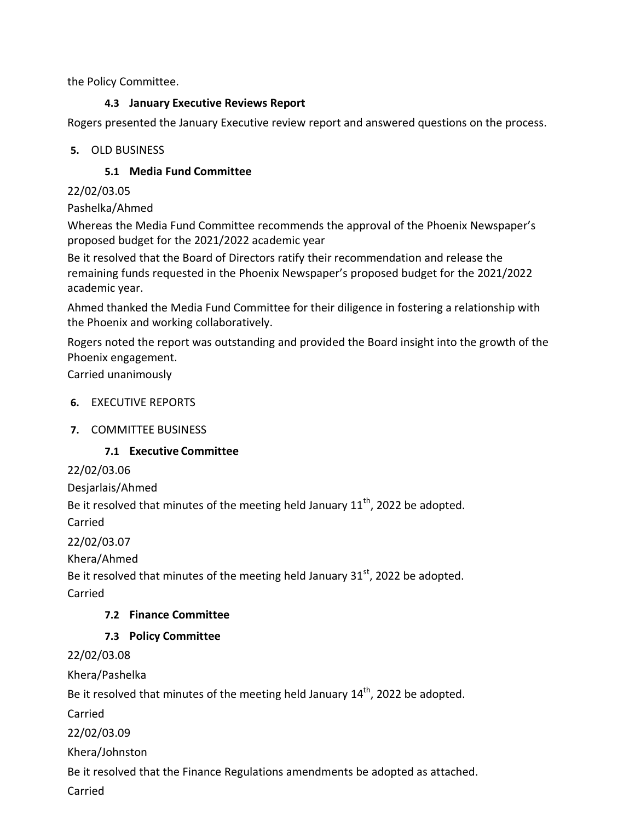the Policy Committee.

## **4.3 January Executive Reviews Report**

Rogers presented the January Executive review report and answered questions on the process.

## **5.** OLD BUSINESS

# **5.1 Media Fund Committee**

# 22/02/03.05

Pashelka/Ahmed

Whereas the Media Fund Committee recommends the approval of the Phoenix Newspaper's proposed budget for the 2021/2022 academic year

Be it resolved that the Board of Directors ratify their recommendation and release the remaining funds requested in the Phoenix Newspaper's proposed budget for the 2021/2022 academic year.

Ahmed thanked the Media Fund Committee for their diligence in fostering a relationship with the Phoenix and working collaboratively.

Rogers noted the report was outstanding and provided the Board insight into the growth of the Phoenix engagement.

Carried unanimously

# **6.** EXECUTIVE REPORTS

# **7.** COMMITTEE BUSINESS

# **7.1 Executive Committee**

22/02/03.06

Desjarlais/Ahmed

Be it resolved that minutes of the meeting held January  $11<sup>th</sup>$ , 2022 be adopted.

Carried

22/02/03.07

Khera/Ahmed

Be it resolved that minutes of the meeting held January  $31<sup>st</sup>$ , 2022 be adopted.

Carried

# **7.2 Finance Committee**

# **7.3 Policy Committee**

22/02/03.08

Khera/Pashelka

Be it resolved that minutes of the meeting held January 14<sup>th</sup>, 2022 be adopted.

Carried

22/02/03.09

Khera/Johnston

Be it resolved that the Finance Regulations amendments be adopted as attached.

Carried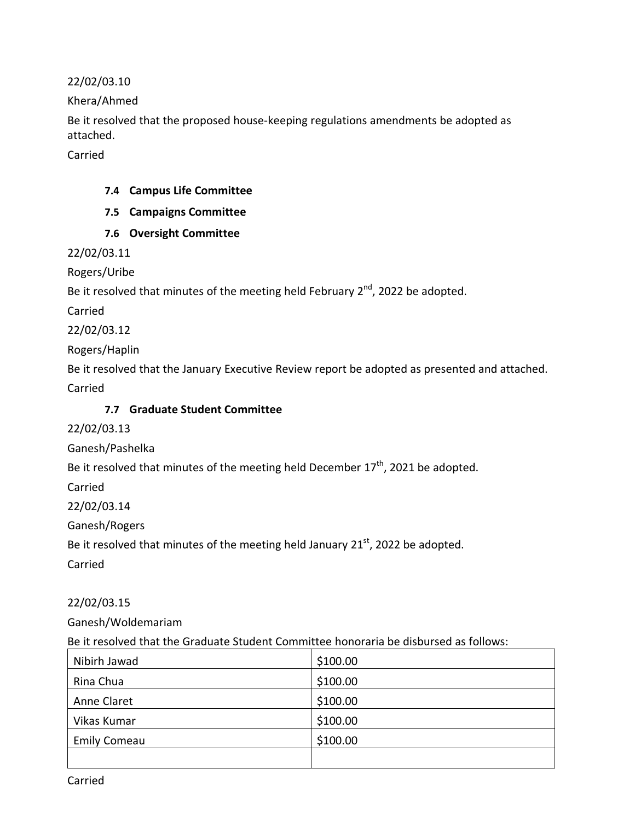22/02/03.10

Khera/Ahmed

Be it resolved that the proposed house-keeping regulations amendments be adopted as attached.

Carried

#### **7.4 Campus Life Committee**

- **7.5 Campaigns Committee**
- **7.6 Oversight Committee**

22/02/03.11

Rogers/Uribe

Be it resolved that minutes of the meeting held February 2<sup>nd</sup>, 2022 be adopted.

Carried

22/02/03.12

Rogers/Haplin

Be it resolved that the January Executive Review report be adopted as presented and attached.

Carried

## **7.7 Graduate Student Committee**

22/02/03.13

Ganesh/Pashelka

Be it resolved that minutes of the meeting held December  $17<sup>th</sup>$ , 2021 be adopted.

Carried

22/02/03.14

Ganesh/Rogers

Be it resolved that minutes of the meeting held January 21<sup>st</sup>, 2022 be adopted.

Carried

22/02/03.15

Ganesh/Woldemariam

Be it resolved that the Graduate Student Committee honoraria be disbursed as follows:

| Nibirh Jawad        | \$100.00 |
|---------------------|----------|
| Rina Chua           | \$100.00 |
| Anne Claret         | \$100.00 |
| Vikas Kumar         | \$100.00 |
| <b>Emily Comeau</b> | \$100.00 |
|                     |          |

Carried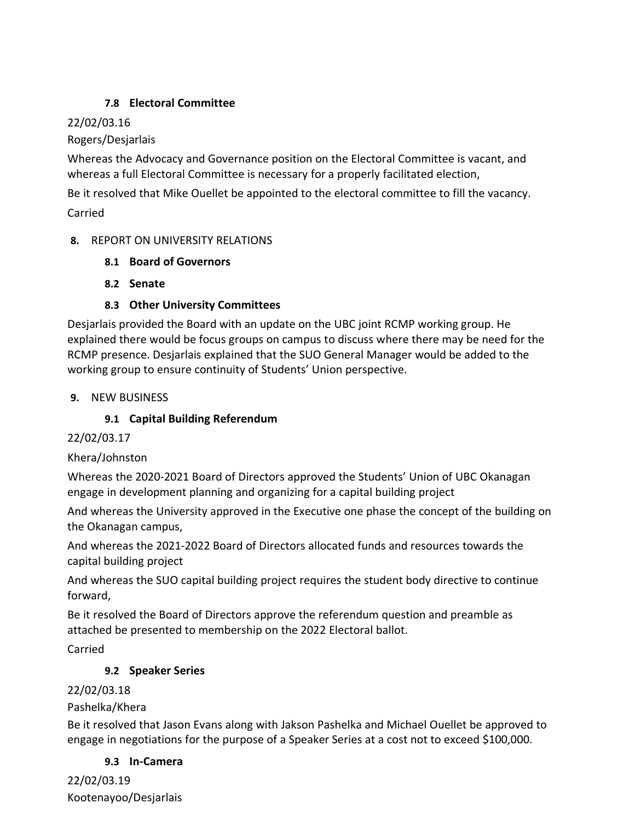## **7.8 Electoral Committee**

## 22/02/03.16

Rogers/Desjarlais

Whereas the Advocacy and Governance position on the Electoral Committee is vacant, and whereas a full Electoral Committee is necessary for a properly facilitated election,

Be it resolved that Mike Ouellet be appointed to the electoral committee to fill the vacancy.

Carried

### **8.** REPORT ON UNIVERSITY RELATIONS

- **8.1 Board of Governors**
- **8.2 Senate**

## **8.3 Other University Committees**

Desjarlais provided the Board with an update on the UBC joint RCMP working group. He explained there would be focus groups on campus to discuss where there may be need for the RCMP presence. Desjarlais explained that the SUO General Manager would be added to the working group to ensure continuity of Students' Union perspective.

### **9.** NEW BUSINESS

## **9.1 Capital Building Referendum**

## 22/02/03.17

## Khera/Johnston

Whereas the 2020-2021 Board of Directors approved the Students' Union of UBC Okanagan engage in development planning and organizing for a capital building project

And whereas the University approved in the Executive one phase the concept of the building on the Okanagan campus,

And whereas the 2021-2022 Board of Directors allocated funds and resources towards the capital building project

And whereas the SUO capital building project requires the student body directive to continue forward,

Be it resolved the Board of Directors approve the referendum question and preamble as attached be presented to membership on the 2022 Electoral ballot.

Carried

## **9.2 Speaker Series**

## 22/02/03.18

## Pashelka/Khera

Be it resolved that Jason Evans along with Jakson Pashelka and Michael Ouellet be approved to engage in negotiations for the purpose of a Speaker Series at a cost not to exceed \$100,000.

#### **9.3 In-Camera**

22/02/03.19 Kootenayoo/Desjarlais